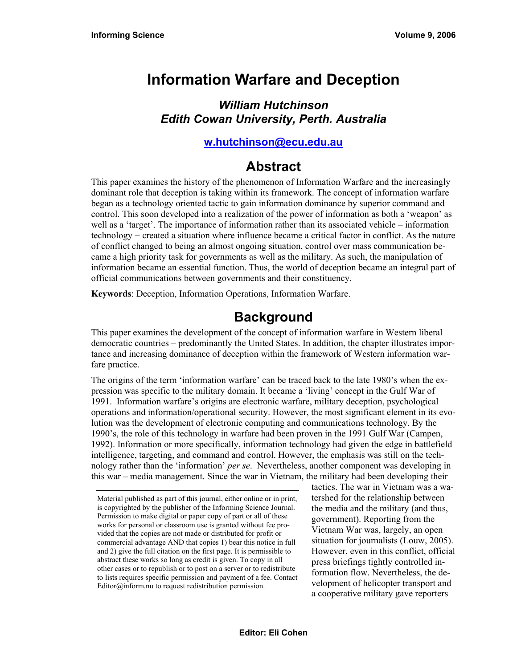# **Information Warfare and Deception**

### *William Hutchinson Edith Cowan University, Perth. Australia*

#### **[w.hutchinson@ecu.edu.au](mailto:w.hutchinson@ecu.edu.au)**

## **Abstract**

This paper examines the history of the phenomenon of Information Warfare and the increasingly dominant role that deception is taking within its framework. The concept of information warfare began as a technology oriented tactic to gain information dominance by superior command and control. This soon developed into a realization of the power of information as both a 'weapon' as well as a 'target'. The importance of information rather than its associated vehicle – information technology − created a situation where influence became a critical factor in conflict. As the nature of conflict changed to being an almost ongoing situation, control over mass communication became a high priority task for governments as well as the military. As such, the manipulation of information became an essential function. Thus, the world of deception became an integral part of official communications between governments and their constituency.

**Keywords**: Deception, Information Operations, Information Warfare.

# **Background**

This paper examines the development of the concept of information warfare in Western liberal democratic countries – predominantly the United States. In addition, the chapter illustrates importance and increasing dominance of deception within the framework of Western information warfare practice.

The origins of the term 'information warfare' can be traced back to the late 1980's when the expression was specific to the military domain. It became a 'living' concept in the Gulf War of 1991. Information warfare's origins are electronic warfare, military deception, psychological operations and information/operational security. However, the most significant element in its evolution was the development of electronic computing and communications technology. By the 1990's, the role of this technology in warfare had been proven in the 1991 Gulf War (Campen, 1992). Information or more specifically, information technology had given the edge in battlefield intelligence, targeting, and command and control. However, the emphasis was still on the technology rather than the 'information' *per se*. Nevertheless, another component was developing in this war – media management. Since the war in Vietnam, the military had been developing their

tactics. The war in Vietnam was a watershed for the relationship between the media and the military (and thus, government). Reporting from the Vietnam War was, largely, an open situation for journalists (Louw, 2005). However, even in this conflict, official press briefings tightly controlled information flow. Nevertheless, the development of helicopter transport and a cooperative military gave reporters

Material published as part of this journal, either online or in print, is copyrighted by the publisher of the Informing Science Journal. Permission to make digital or paper copy of part or all of these works for personal or classroom use is granted without fee provided that the copies are not made or distributed for profit or commercial advantage AND that copies 1) bear this notice in full and 2) give the full citation on the first page. It is permissible to abstract these works so long as credit is given. To copy in all other cases or to republish or to post on a server or to redistribute to lists requires specific permission and payment of a fee. Contact Editor@inform.nu to request redistribution permission.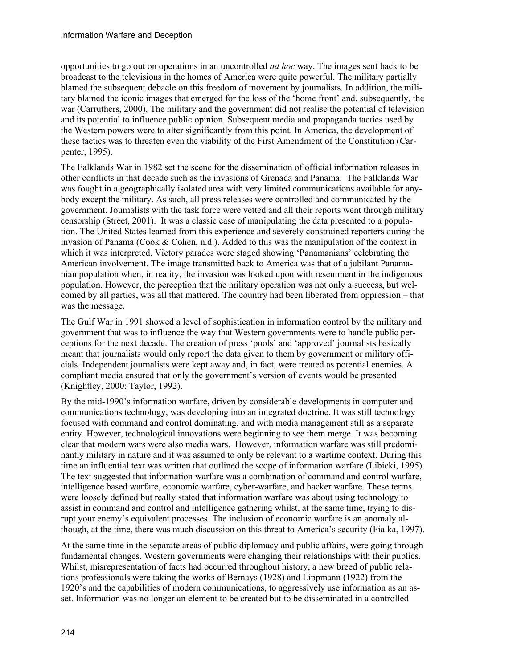opportunities to go out on operations in an uncontrolled *ad hoc* way. The images sent back to be broadcast to the televisions in the homes of America were quite powerful. The military partially blamed the subsequent debacle on this freedom of movement by journalists. In addition, the military blamed the iconic images that emerged for the loss of the 'home front' and, subsequently, the war (Carruthers, 2000). The military and the government did not realise the potential of television and its potential to influence public opinion. Subsequent media and propaganda tactics used by the Western powers were to alter significantly from this point. In America, the development of these tactics was to threaten even the viability of the First Amendment of the Constitution (Carpenter, 1995).

The Falklands War in 1982 set the scene for the dissemination of official information releases in other conflicts in that decade such as the invasions of Grenada and Panama. The Falklands War was fought in a geographically isolated area with very limited communications available for anybody except the military. As such, all press releases were controlled and communicated by the government. Journalists with the task force were vetted and all their reports went through military censorship (Street, 2001). It was a classic case of manipulating the data presented to a population. The United States learned from this experience and severely constrained reporters during the invasion of Panama (Cook & Cohen, n.d.). Added to this was the manipulation of the context in which it was interpreted. Victory parades were staged showing 'Panamanians' celebrating the American involvement. The image transmitted back to America was that of a jubilant Panamanian population when, in reality, the invasion was looked upon with resentment in the indigenous population. However, the perception that the military operation was not only a success, but welcomed by all parties, was all that mattered. The country had been liberated from oppression – that was the message.

The Gulf War in 1991 showed a level of sophistication in information control by the military and government that was to influence the way that Western governments were to handle public perceptions for the next decade. The creation of press 'pools' and 'approved' journalists basically meant that journalists would only report the data given to them by government or military officials. Independent journalists were kept away and, in fact, were treated as potential enemies. A compliant media ensured that only the government's version of events would be presented (Knightley, 2000; Taylor, 1992).

By the mid-1990's information warfare, driven by considerable developments in computer and communications technology, was developing into an integrated doctrine. It was still technology focused with command and control dominating, and with media management still as a separate entity. However, technological innovations were beginning to see them merge. It was becoming clear that modern wars were also media wars. However, information warfare was still predominantly military in nature and it was assumed to only be relevant to a wartime context. During this time an influential text was written that outlined the scope of information warfare (Libicki, 1995). The text suggested that information warfare was a combination of command and control warfare, intelligence based warfare, economic warfare, cyber-warfare, and hacker warfare. These terms were loosely defined but really stated that information warfare was about using technology to assist in command and control and intelligence gathering whilst, at the same time, trying to disrupt your enemy's equivalent processes. The inclusion of economic warfare is an anomaly although, at the time, there was much discussion on this threat to America's security (Fialka, 1997).

At the same time in the separate areas of public diplomacy and public affairs, were going through fundamental changes. Western governments were changing their relationships with their publics. Whilst, misrepresentation of facts had occurred throughout history, a new breed of public relations professionals were taking the works of Bernays (1928) and Lippmann (1922) from the 1920's and the capabilities of modern communications, to aggressively use information as an asset. Information was no longer an element to be created but to be disseminated in a controlled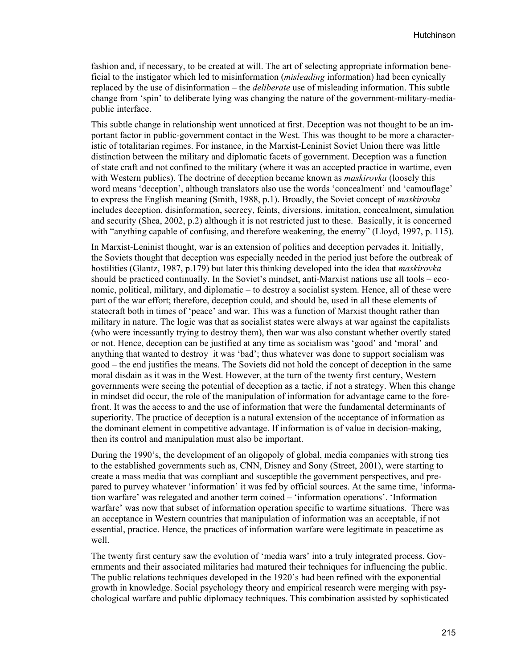fashion and, if necessary, to be created at will. The art of selecting appropriate information beneficial to the instigator which led to misinformation (*misleading* information) had been cynically replaced by the use of disinformation – the *deliberate* use of misleading information. This subtle change from 'spin' to deliberate lying was changing the nature of the government-military-mediapublic interface.

This subtle change in relationship went unnoticed at first. Deception was not thought to be an important factor in public-government contact in the West. This was thought to be more a characteristic of totalitarian regimes. For instance, in the Marxist-Leninist Soviet Union there was little distinction between the military and diplomatic facets of government. Deception was a function of state craft and not confined to the military (where it was an accepted practice in wartime, even with Western publics). The doctrine of deception became known as *maskirovka* (loosely this word means 'deception', although translators also use the words 'concealment' and 'camouflage' to express the English meaning (Smith, 1988, p.1). Broadly, the Soviet concept of *maskirovka* includes deception, disinformation, secrecy, feints, diversions, imitation, concealment, simulation and security (Shea, 2002, p.2) although it is not restricted just to these. Basically, it is concerned with "anything capable of confusing, and therefore weakening, the enemy" (Lloyd, 1997, p. 115).

In Marxist-Leninist thought, war is an extension of politics and deception pervades it. Initially, the Soviets thought that deception was especially needed in the period just before the outbreak of hostilities (Glantz, 1987, p.179) but later this thinking developed into the idea that *maskirovka* should be practiced continually. In the Soviet's mindset, anti-Marxist nations use all tools – economic, political, military, and diplomatic – to destroy a socialist system. Hence, all of these were part of the war effort; therefore, deception could, and should be, used in all these elements of statecraft both in times of 'peace' and war. This was a function of Marxist thought rather than military in nature. The logic was that as socialist states were always at war against the capitalists (who were incessantly trying to destroy them), then war was also constant whether overtly stated or not. Hence, deception can be justified at any time as socialism was 'good' and 'moral' and anything that wanted to destroy it was 'bad'; thus whatever was done to support socialism was good – the end justifies the means. The Soviets did not hold the concept of deception in the same moral disdain as it was in the West. However, at the turn of the twenty first century, Western governments were seeing the potential of deception as a tactic, if not a strategy. When this change in mindset did occur, the role of the manipulation of information for advantage came to the forefront. It was the access to and the use of information that were the fundamental determinants of superiority. The practice of deception is a natural extension of the acceptance of information as the dominant element in competitive advantage. If information is of value in decision-making, then its control and manipulation must also be important.

During the 1990's, the development of an oligopoly of global, media companies with strong ties to the established governments such as, CNN, Disney and Sony (Street, 2001), were starting to create a mass media that was compliant and susceptible the government perspectives, and prepared to purvey whatever 'information' it was fed by official sources. At the same time, 'information warfare' was relegated and another term coined – 'information operations'. 'Information warfare' was now that subset of information operation specific to wartime situations. There was an acceptance in Western countries that manipulation of information was an acceptable, if not essential, practice. Hence, the practices of information warfare were legitimate in peacetime as well.

The twenty first century saw the evolution of 'media wars' into a truly integrated process. Governments and their associated militaries had matured their techniques for influencing the public. The public relations techniques developed in the 1920's had been refined with the exponential growth in knowledge. Social psychology theory and empirical research were merging with psychological warfare and public diplomacy techniques. This combination assisted by sophisticated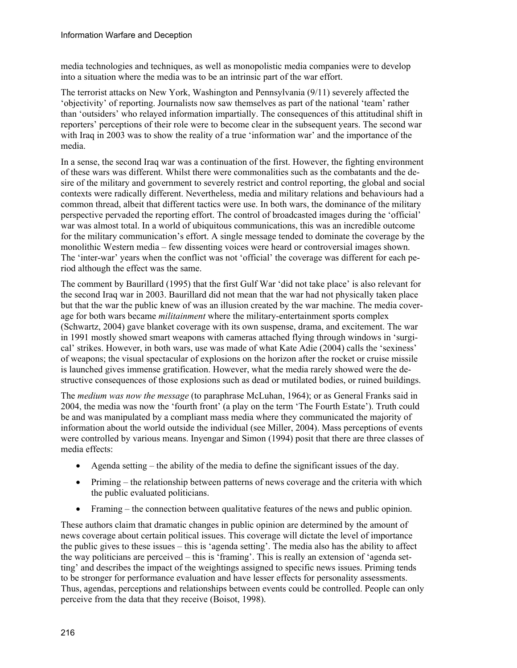media technologies and techniques, as well as monopolistic media companies were to develop into a situation where the media was to be an intrinsic part of the war effort.

The terrorist attacks on New York, Washington and Pennsylvania (9/11) severely affected the 'objectivity' of reporting. Journalists now saw themselves as part of the national 'team' rather than 'outsiders' who relayed information impartially. The consequences of this attitudinal shift in reporters' perceptions of their role were to become clear in the subsequent years. The second war with Iraq in 2003 was to show the reality of a true 'information war' and the importance of the media.

In a sense, the second Iraq war was a continuation of the first. However, the fighting environment of these wars was different. Whilst there were commonalities such as the combatants and the desire of the military and government to severely restrict and control reporting, the global and social contexts were radically different. Nevertheless, media and military relations and behaviours had a common thread, albeit that different tactics were use. In both wars, the dominance of the military perspective pervaded the reporting effort. The control of broadcasted images during the 'official' war was almost total. In a world of ubiquitous communications, this was an incredible outcome for the military communication's effort. A single message tended to dominate the coverage by the monolithic Western media – few dissenting voices were heard or controversial images shown. The 'inter-war' years when the conflict was not 'official' the coverage was different for each period although the effect was the same.

The comment by Baurillard (1995) that the first Gulf War 'did not take place' is also relevant for the second Iraq war in 2003. Baurillard did not mean that the war had not physically taken place but that the war the public knew of was an illusion created by the war machine. The media coverage for both wars became *militainment* where the military-entertainment sports complex (Schwartz, 2004) gave blanket coverage with its own suspense, drama, and excitement. The war in 1991 mostly showed smart weapons with cameras attached flying through windows in 'surgical' strikes. However, in both wars, use was made of what Kate Adie (2004) calls the 'sexiness' of weapons; the visual spectacular of explosions on the horizon after the rocket or cruise missile is launched gives immense gratification. However, what the media rarely showed were the destructive consequences of those explosions such as dead or mutilated bodies, or ruined buildings.

The *medium was now the message* (to paraphrase McLuhan, 1964); or as General Franks said in 2004, the media was now the 'fourth front' (a play on the term 'The Fourth Estate'). Truth could be and was manipulated by a compliant mass media where they communicated the majority of information about the world outside the individual (see Miller, 2004). Mass perceptions of events were controlled by various means. Inyengar and Simon (1994) posit that there are three classes of media effects:

- Agenda setting the ability of the media to define the significant issues of the day.
- Priming the relationship between patterns of news coverage and the criteria with which the public evaluated politicians.
- Framing the connection between qualitative features of the news and public opinion.

These authors claim that dramatic changes in public opinion are determined by the amount of news coverage about certain political issues. This coverage will dictate the level of importance the public gives to these issues – this is 'agenda setting'. The media also has the ability to affect the way politicians are perceived – this is 'framing'. This is really an extension of 'agenda setting' and describes the impact of the weightings assigned to specific news issues. Priming tends to be stronger for performance evaluation and have lesser effects for personality assessments. Thus, agendas, perceptions and relationships between events could be controlled. People can only perceive from the data that they receive (Boisot, 1998).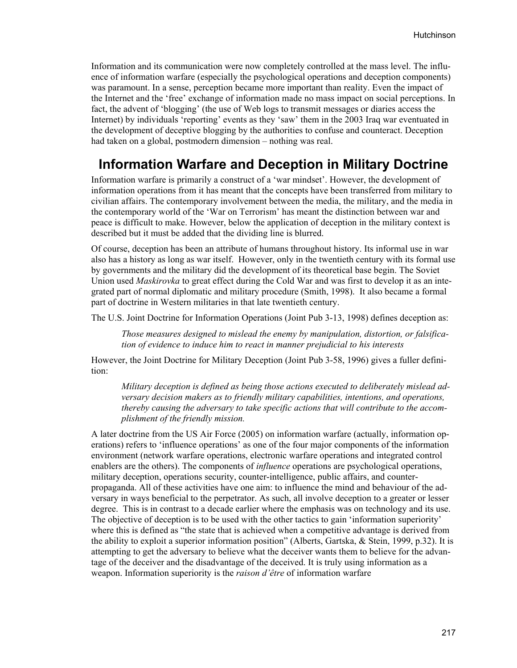Information and its communication were now completely controlled at the mass level. The influence of information warfare (especially the psychological operations and deception components) was paramount. In a sense, perception became more important than reality. Even the impact of the Internet and the 'free' exchange of information made no mass impact on social perceptions. In fact, the advent of 'blogging' (the use of Web logs to transmit messages or diaries access the Internet) by individuals 'reporting' events as they 'saw' them in the 2003 Iraq war eventuated in the development of deceptive blogging by the authorities to confuse and counteract. Deception had taken on a global, postmodern dimension – nothing was real.

### **Information Warfare and Deception in Military Doctrine**

Information warfare is primarily a construct of a 'war mindset'. However, the development of information operations from it has meant that the concepts have been transferred from military to civilian affairs. The contemporary involvement between the media, the military, and the media in the contemporary world of the 'War on Terrorism' has meant the distinction between war and peace is difficult to make. However, below the application of deception in the military context is described but it must be added that the dividing line is blurred.

Of course, deception has been an attribute of humans throughout history. Its informal use in war also has a history as long as war itself. However, only in the twentieth century with its formal use by governments and the military did the development of its theoretical base begin. The Soviet Union used *Maskirovka* to great effect during the Cold War and was first to develop it as an integrated part of normal diplomatic and military procedure (Smith, 1998). It also became a formal part of doctrine in Western militaries in that late twentieth century.

The U.S. Joint Doctrine for Information Operations (Joint Pub 3-13, 1998) defines deception as:

*Those measures designed to mislead the enemy by manipulation, distortion, or falsification of evidence to induce him to react in manner prejudicial to his interests* 

However, the Joint Doctrine for Military Deception (Joint Pub 3-58, 1996) gives a fuller definition:

*Military deception is defined as being those actions executed to deliberately mislead adversary decision makers as to friendly military capabilities, intentions, and operations, thereby causing the adversary to take specific actions that will contribute to the accomplishment of the friendly mission.* 

A later doctrine from the US Air Force (2005) on information warfare (actually, information operations) refers to 'influence operations' as one of the four major components of the information environment (network warfare operations, electronic warfare operations and integrated control enablers are the others). The components of *influence* operations are psychological operations, military deception, operations security, counter-intelligence, public affairs, and counterpropaganda. All of these activities have one aim: to influence the mind and behaviour of the adversary in ways beneficial to the perpetrator. As such, all involve deception to a greater or lesser degree. This is in contrast to a decade earlier where the emphasis was on technology and its use. The objective of deception is to be used with the other tactics to gain 'information superiority' where this is defined as "the state that is achieved when a competitive advantage is derived from the ability to exploit a superior information position" (Alberts, Gartska, & Stein, 1999, p.32). It is attempting to get the adversary to believe what the deceiver wants them to believe for the advantage of the deceiver and the disadvantage of the deceived. It is truly using information as a weapon. Information superiority is the *raison d'être* of information warfare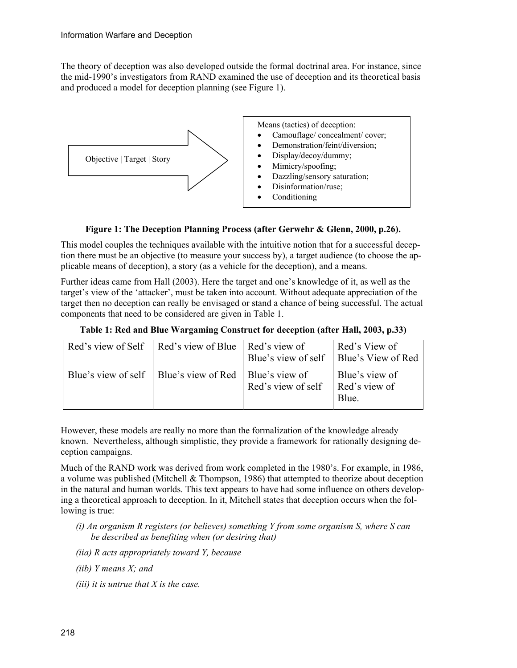The theory of deception was also developed outside the formal doctrinal area. For instance, since the mid-1990's investigators from RAND examined the use of deception and its theoretical basis and produced a model for deception planning (see Figure 1).



#### **Figure 1: The Deception Planning Process (after Gerwehr & Glenn, 2000, p.26).**

This model couples the techniques available with the intuitive notion that for a successful deception there must be an objective (to measure your success by), a target audience (to choose the applicable means of deception), a story (as a vehicle for the deception), and a means.

Further ideas came from Hall (2003). Here the target and one's knowledge of it, as well as the target's view of the 'attacker', must be taken into account. Without adequate appreciation of the target then no deception can really be envisaged or stand a chance of being successful. The actual components that need to be considered are given in Table 1.

| Red's view of Self   Red's view of Blue   Red's view of   | Blue's view of self   Blue's View of Red | Red's View of                            |
|-----------------------------------------------------------|------------------------------------------|------------------------------------------|
| Blue's view of self   Blue's view of Red   Blue's view of | Red's view of self                       | Blue's view of<br>Red's view of<br>Blue. |

**Table 1: Red and Blue Wargaming Construct for deception (after Hall, 2003, p.33)** 

However, these models are really no more than the formalization of the knowledge already known. Nevertheless, although simplistic, they provide a framework for rationally designing deception campaigns.

Much of the RAND work was derived from work completed in the 1980's. For example, in 1986, a volume was published (Mitchell  $&$  Thompson, 1986) that attempted to theorize about deception in the natural and human worlds. This text appears to have had some influence on others developing a theoretical approach to deception. In it, Mitchell states that deception occurs when the following is true:

- *(i) An organism R registers (or believes) something Y from some organism S, where S can be described as benefiting when (or desiring that)*
- *(iia) R acts appropriately toward Y, because*
- *(iib) Y means X; and*
- *(iii) it is untrue that X is the case.*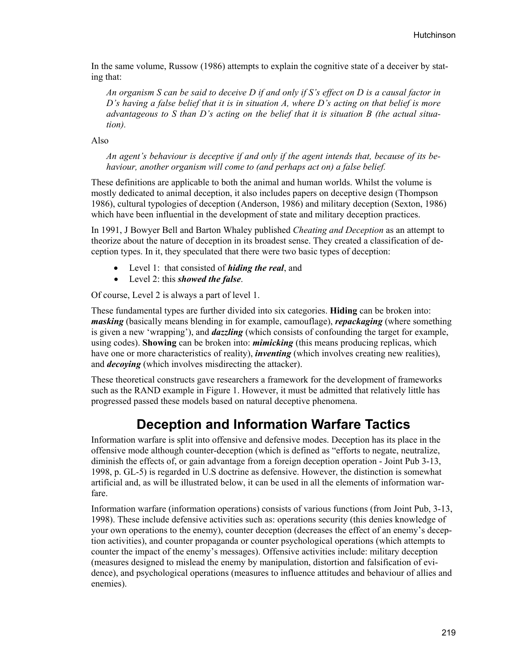In the same volume, Russow (1986) attempts to explain the cognitive state of a deceiver by stating that:

*An organism S can be said to deceive D if and only if S's effect on D is a causal factor in D's having a false belief that it is in situation A, where D's acting on that belief is more advantageous to S than D's acting on the belief that it is situation B (the actual situation).* 

Also

*An agent's behaviour is deceptive if and only if the agent intends that, because of its behaviour, another organism will come to (and perhaps act on) a false belief.* 

These definitions are applicable to both the animal and human worlds. Whilst the volume is mostly dedicated to animal deception, it also includes papers on deceptive design (Thompson 1986), cultural typologies of deception (Anderson, 1986) and military deception (Sexton, 1986) which have been influential in the development of state and military deception practices.

In 1991, J Bowyer Bell and Barton Whaley published *Cheating and Deception* as an attempt to theorize about the nature of deception in its broadest sense. They created a classification of deception types. In it, they speculated that there were two basic types of deception:

- Level 1: that consisted of *hiding the real*, and
- Level 2: this *showed the false*.

Of course, Level 2 is always a part of level 1.

These fundamental types are further divided into six categories. **Hiding** can be broken into: *masking* (basically means blending in for example, camouflage), *repackaging* (where something is given a new 'wrapping'), and *dazzling* (which consists of confounding the target for example, using codes). **Showing** can be broken into: *mimicking* (this means producing replicas, which have one or more characteristics of reality), *inventing* (which involves creating new realities), and *decoying* (which involves misdirecting the attacker).

These theoretical constructs gave researchers a framework for the development of frameworks such as the RAND example in Figure 1. However, it must be admitted that relatively little has progressed passed these models based on natural deceptive phenomena.

### **Deception and Information Warfare Tactics**

Information warfare is split into offensive and defensive modes. Deception has its place in the offensive mode although counter-deception (which is defined as "efforts to negate, neutralize, diminish the effects of, or gain advantage from a foreign deception operation - Joint Pub 3-13, 1998, p. GL-5) is regarded in U.S doctrine as defensive. However, the distinction is somewhat artificial and, as will be illustrated below, it can be used in all the elements of information warfare.

Information warfare (information operations) consists of various functions (from Joint Pub, 3-13, 1998). These include defensive activities such as: operations security (this denies knowledge of your own operations to the enemy), counter deception (decreases the effect of an enemy's deception activities), and counter propaganda or counter psychological operations (which attempts to counter the impact of the enemy's messages). Offensive activities include: military deception (measures designed to mislead the enemy by manipulation, distortion and falsification of evidence), and psychological operations (measures to influence attitudes and behaviour of allies and enemies).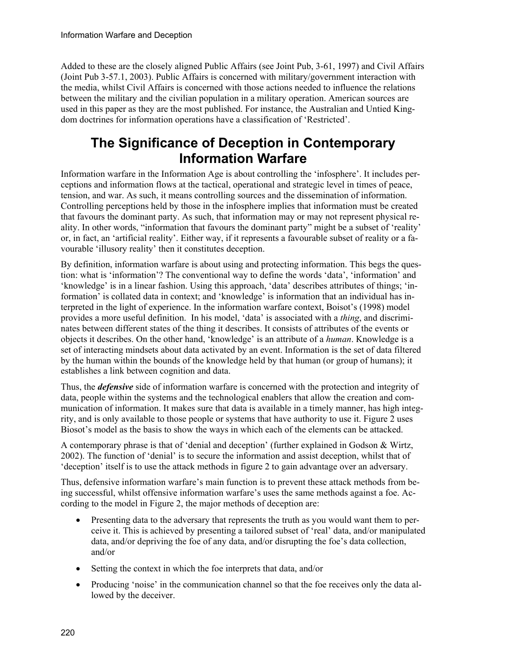Added to these are the closely aligned Public Affairs (see Joint Pub, 3-61, 1997) and Civil Affairs (Joint Pub 3-57.1, 2003). Public Affairs is concerned with military/government interaction with the media, whilst Civil Affairs is concerned with those actions needed to influence the relations between the military and the civilian population in a military operation. American sources are used in this paper as they are the most published. For instance, the Australian and Untied Kingdom doctrines for information operations have a classification of 'Restricted'.

# **The Significance of Deception in Contemporary Information Warfare**

Information warfare in the Information Age is about controlling the 'infosphere'. It includes perceptions and information flows at the tactical, operational and strategic level in times of peace, tension, and war. As such, it means controlling sources and the dissemination of information. Controlling perceptions held by those in the infosphere implies that information must be created that favours the dominant party. As such, that information may or may not represent physical reality. In other words, "information that favours the dominant party" might be a subset of 'reality' or, in fact, an 'artificial reality'. Either way, if it represents a favourable subset of reality or a favourable 'illusory reality' then it constitutes deception.

By definition, information warfare is about using and protecting information. This begs the question: what is 'information'? The conventional way to define the words 'data', 'information' and 'knowledge' is in a linear fashion. Using this approach, 'data' describes attributes of things; 'information' is collated data in context; and 'knowledge' is information that an individual has interpreted in the light of experience. In the information warfare context, Boisot's (1998) model provides a more useful definition. In his model, 'data' is associated with a *thing*, and discriminates between different states of the thing it describes. It consists of attributes of the events or objects it describes. On the other hand, 'knowledge' is an attribute of a *human*. Knowledge is a set of interacting mindsets about data activated by an event. Information is the set of data filtered by the human within the bounds of the knowledge held by that human (or group of humans); it establishes a link between cognition and data.

Thus, the *defensive* side of information warfare is concerned with the protection and integrity of data, people within the systems and the technological enablers that allow the creation and communication of information. It makes sure that data is available in a timely manner, has high integrity, and is only available to those people or systems that have authority to use it. Figure 2 uses Biosot's model as the basis to show the ways in which each of the elements can be attacked.

A contemporary phrase is that of 'denial and deception' (further explained in Godson & Wirtz, 2002). The function of 'denial' is to secure the information and assist deception, whilst that of 'deception' itself is to use the attack methods in figure 2 to gain advantage over an adversary.

Thus, defensive information warfare's main function is to prevent these attack methods from being successful, whilst offensive information warfare's uses the same methods against a foe. According to the model in Figure 2, the major methods of deception are:

- Presenting data to the adversary that represents the truth as you would want them to perceive it. This is achieved by presenting a tailored subset of 'real' data, and/or manipulated data, and/or depriving the foe of any data, and/or disrupting the foe's data collection, and/or
- Setting the context in which the foe interprets that data, and/or
- Producing 'noise' in the communication channel so that the foe receives only the data allowed by the deceiver.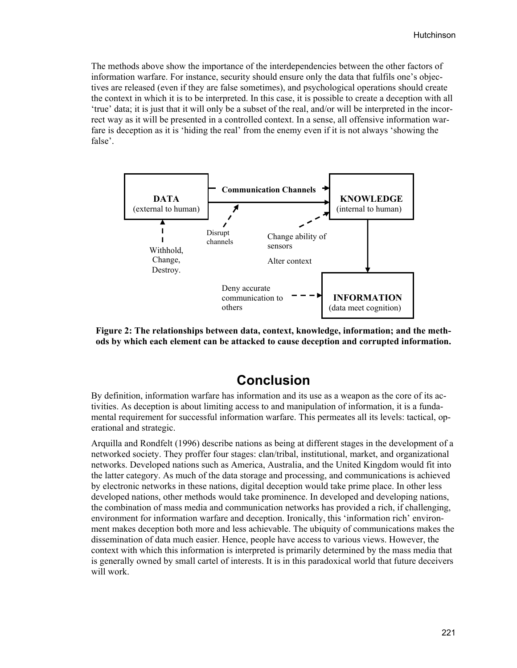The methods above show the importance of the interdependencies between the other factors of information warfare. For instance, security should ensure only the data that fulfils one's objectives are released (even if they are false sometimes), and psychological operations should create the context in which it is to be interpreted. In this case, it is possible to create a deception with all 'true' data; it is just that it will only be a subset of the real, and/or will be interpreted in the incorrect way as it will be presented in a controlled context. In a sense, all offensive information warfare is deception as it is 'hiding the real' from the enemy even if it is not always 'showing the false'.



**Figure 2: The relationships between data, context, knowledge, information; and the methods by which each element can be attacked to cause deception and corrupted information.** 

### **Conclusion**

By definition, information warfare has information and its use as a weapon as the core of its activities. As deception is about limiting access to and manipulation of information, it is a fundamental requirement for successful information warfare. This permeates all its levels: tactical, operational and strategic.

Arquilla and Rondfelt (1996) describe nations as being at different stages in the development of a networked society. They proffer four stages: clan/tribal, institutional, market, and organizational networks. Developed nations such as America, Australia, and the United Kingdom would fit into the latter category. As much of the data storage and processing, and communications is achieved by electronic networks in these nations, digital deception would take prime place. In other less developed nations, other methods would take prominence. In developed and developing nations, the combination of mass media and communication networks has provided a rich, if challenging, environment for information warfare and deception. Ironically, this 'information rich' environment makes deception both more and less achievable. The ubiquity of communications makes the dissemination of data much easier. Hence, people have access to various views. However, the context with which this information is interpreted is primarily determined by the mass media that is generally owned by small cartel of interests. It is in this paradoxical world that future deceivers will work.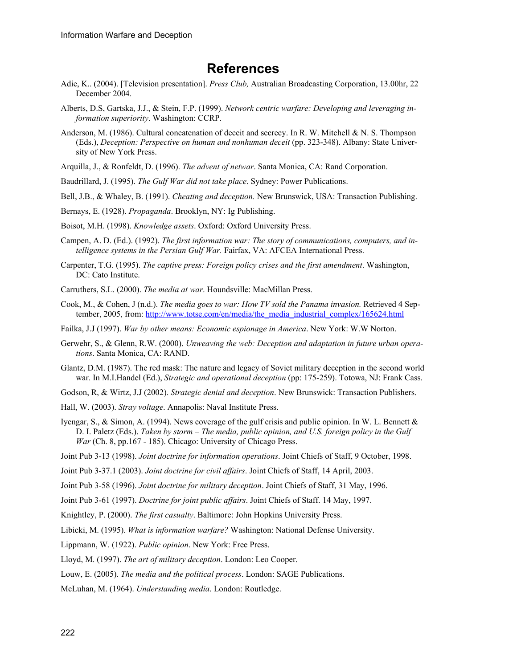### **References**

- Adie, K.. (2004). [Television presentation]. *Press Club,* Australian Broadcasting Corporation, 13.00hr, 22 December 2004.
- Alberts, D.S, Gartska, J.J., & Stein, F.P. (1999). *Network centric warfare: Developing and leveraging information superiority*. Washington: CCRP.
- Anderson, M. (1986). Cultural concatenation of deceit and secrecy. In R. W. Mitchell & N. S. Thompson (Eds.), *Deception: Perspective on human and nonhuman deceit* (pp. 323-348). Albany: State University of New York Press.
- Arquilla, J., & Ronfeldt, D. (1996). *The advent of netwar*. Santa Monica, CA: Rand Corporation.
- Baudrillard, J. (1995). *The Gulf War did not take place*. Sydney: Power Publications.

Bell, J.B., & Whaley, B. (1991). *Cheating and deception.* New Brunswick, USA: Transaction Publishing.

- Bernays, E. (1928). *Propaganda*. Brooklyn, NY: Ig Publishing.
- Boisot, M.H. (1998). *Knowledge assets*. Oxford: Oxford University Press.
- Campen, A. D. (Ed.). (1992). *The first information war: The story of communications, computers, and intelligence systems in the Persian Gulf War.* Fairfax, VA: AFCEA International Press.
- Carpenter, T.G. (1995). *The captive press: Foreign policy crises and the first amendment*. Washington, DC: Cato Institute.
- Carruthers, S.L. (2000). *The media at war*. Houndsville: MacMillan Press.
- Cook, M., & Cohen, J (n.d.). *The media goes to war: How TV sold the Panama invasion.* Retrieved 4 September, 2005, from: [http://www.totse.com/en/media/the\\_media\\_industrial\\_complex/165624.html](http://www.totse.com/en/media/the_media_industrial_complex/165624.html)
- Failka, J.J (1997). *War by other means: Economic espionage in America*. New York: W.W Norton.
- Gerwehr, S., & Glenn, R.W. (2000). *Unweaving the web: Deception and adaptation in future urban operations*. Santa Monica, CA: RAND.
- Glantz, D.M. (1987). The red mask: The nature and legacy of Soviet military deception in the second world war. In M.I.Handel (Ed.), *Strategic and operational deception* (pp: 175-259). Totowa, NJ: Frank Cass.
- Godson, R, & Wirtz, J.J (2002). *Strategic denial and deception*. New Brunswick: Transaction Publishers.
- Hall, W. (2003). *Stray voltage*. Annapolis: Naval Institute Press.
- Iyengar, S., & Simon, A. (1994). News coverage of the gulf crisis and public opinion. In W. L. Bennett & D. I. Paletz (Eds.). *Taken by storm – The media, public opinion, and U.S. foreign policy in the Gulf War* (Ch. 8, pp.167 - 185). Chicago: University of Chicago Press.
- Joint Pub 3-13 (1998). *Joint doctrine for information operations*. Joint Chiefs of Staff, 9 October, 1998.
- Joint Pub 3-37.1 (2003). *Joint doctrine for civil affairs*. Joint Chiefs of Staff, 14 April, 2003.
- Joint Pub 3-58 (1996). *Joint doctrine for military deception*. Joint Chiefs of Staff, 31 May, 1996.
- Joint Pub 3-61 (1997). *Doctrine for joint public affairs*. Joint Chiefs of Staff. 14 May, 1997.
- Knightley, P. (2000). *The first casualty*. Baltimore: John Hopkins University Press.
- Libicki, M. (1995). *What is information warfare?* Washington: National Defense University.
- Lippmann, W. (1922). *Public opinion*. New York: Free Press.
- Lloyd, M. (1997). *The art of military deception*. London: Leo Cooper.
- Louw, E. (2005). *The media and the political process*. London: SAGE Publications.
- McLuhan, M. (1964). *Understanding media*. London: Routledge.